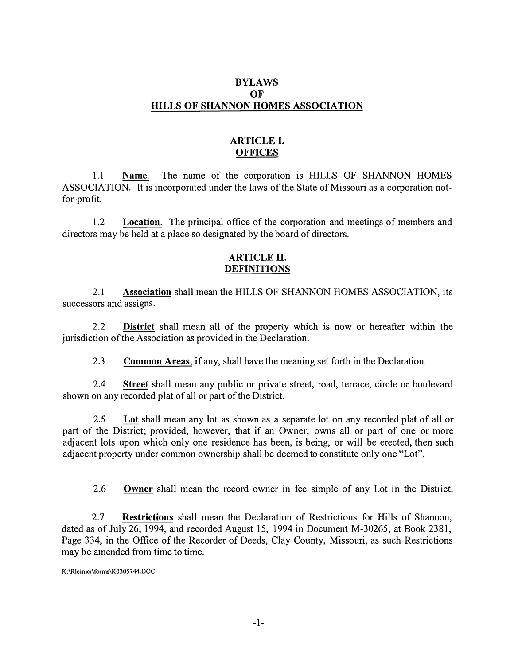## **BYLAWS OF HILLS OF SHANNON HOMES ASSOCIATION**

# **ARTICLE I. OFFICES**

1.1 **Name.** The name of the corporation is HILLS OF SHANNON HOMES ASSOCIATION. It is incorporated under the laws of the State of Missouri as a corporation notfor-profit.

1.2 **Location.** The principal office of the corporation and meetings of members and directors may be held at a place so designated by the board of directors.

## **ARTICLE II. DEFINITIONS**

2.1 **Association** shall mean the HILLS OF SHANNON HOMES ASSOCIATION, its successors and assigns.

2.2 **District** shall mean all of the property which is now or hereafter within the jurisdiction of the Association as provided in the Declaration.

2.3 **Common Areas,** if any, shall have the meaning set forth in the Declaration.

2.4 **Street** shall mean any public or private street, road, terrace, circle or boulevard shown on any recorded plat of all or part of the District.

2.5Lot shall mean any lot as shown as a separate lot on any recorded plat of all or part of the District; provided, however, that if an Owner, owns all or part of one or more adjacent lots upon which only one residence has been, is being, or will be erected, then such adjacent property under common ownership shall be deemed to constitute only one "Lot".

2.6 **Owner** shall mean the record owner in fee simple of any Lot in the District.

2.7 **Restrictions** shall mean the Declaration of Restrictions for Hills of Shannon, dated as of July 26, 1994, and recorded August 15, 1994 in Document M-30265, at Book 2381, Page 334, in the Office of the Recorder of Deeds, Clay County, Missouri, as such Restrictions may be amended from time to time.

**K:\Rleimcr\forms\K0305744.DOC**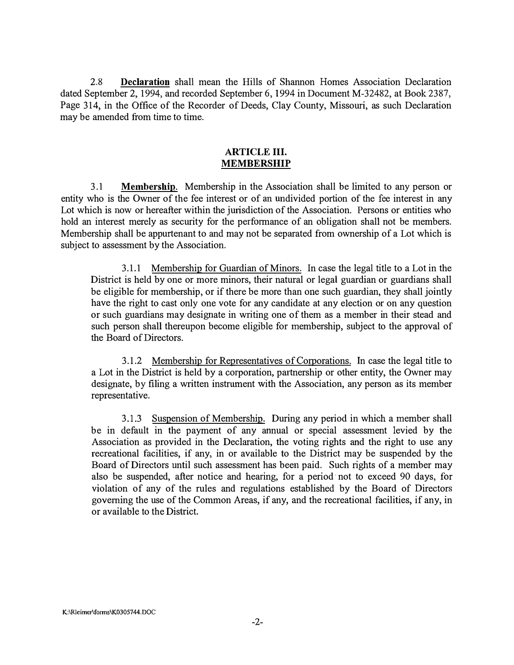2.8 **Declaration** shall mean the Hills of Shannon Homes Association Declaration dated September 2, 1994, and recorded September 6, 1994 in Document M-32482, at Book 2387, Page 314, in the Office of the Recorder of Deeds, Clay County, Missouri, as such Declaration may be amended from time to time.

#### **ARTICLE III. MEMBERSHIP**

3 .1 **Membership.** Membership in the Association shall be limited to any person or entity who is the Owner of the fee interest or of an undivided portion of the fee interest in any Lot which is now or hereafter within the jurisdiction of the Association. Persons or entities who hold an interest merely as security for the performance of an obligation shall not be members. Membership shall be appurtenant to and may not be separated from ownership of a Lot which is subject to assessment by the Association.

3 .1.1 Membership for Guardian of Minors. In case the legal title to a Lot in the District is held by one or more minors, their natural or legal guardian or guardians shall be eligible for membership, or if there be more than one such guardian, they shall jointly have the right to cast only one vote for any candidate at any election or on any question or such guardians may designate in writing one of them as a member in their stead and such person shall thereupon become eligible for membership, subject to the approval of the Board of Directors.

3.1.2 Membership for Representatives of Corporations. In case the legal title to a Lot in the District is held by a corporation, partnership or other entity, the Owner may designate, by filing a written instrument with the Association, any person as its member representative.

3.1.3 Suspension of Membership. During any period in which a member shall be in default in the payment of any annual or special assessment levied by the Association as provided in the Declaration, the voting rights and the right to use any recreational facilities, if any, in or available to the District may be suspended by the Board of Directors until such assessment has been paid. Such rights of a member may also be suspended, after notice and hearing, for a period· not to exceed 90 days, for violation of any of the rules and regulations established by the Board of Directors governing the use of the Common Areas, if any, and the recreational facilities, if any, in or available to the District.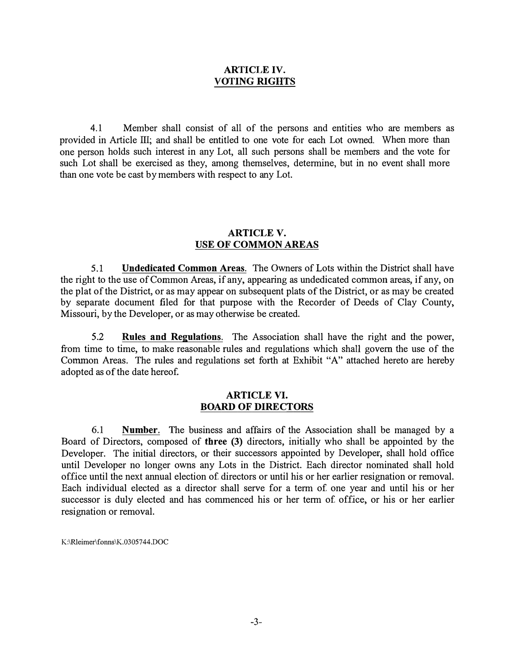#### **ARTICLE IV. VOTING RIGHTS**

4.1 Member shall consist of all of the persons and entities who are members as provided in Article III; and shall be entitled to one vote for each Lot owned. When more than one person holds such interest in any Lot, all such persons shall be members and the vote for such Lot shall be exercised as they, among themselves, determine, but in no event shall more than one vote be cast by members with respect to any Lot.

## **ARTICLE V. USE OF COMMON AREAS**

5.1 **Undedicated Common Areas.** The Owners of Lots within the District shall have the right to the use of Common Areas, if any, appearing as undedicated common areas, if any, on the plat of the District, or as may appear on subsequent plats of the District, or as may be created by separate document filed for that purpose with the Recorder of Deeds of Clay County, Missouri, by the Developer, or as may otherwise be created.

5.2 **Rules and Regulations.** The Association shall have the right and the power, from time to time, to make reasonable rules and regulations which shall govern the use of the Common Areas. The rules and regulations set forth at Exhibit "A" attached hereto are hereby adopted as of the date hereof.

#### **ARTICLE VI. BOARD OF DIRECTORS**

6.1 **Number.** The business and affairs of the Association shall be managed by <sup>a</sup> Board of Directors, composed of **three (3)** directors, initially who shall be appointed by the Developer. The initial directors, or their successors appointed by Developer, shall hold office until Developer no longer owns any Lots in the District. Each director nominated shall hold office until the next annual election of directors or until his or her earlier resignation or removal. Each individual elected as <sup>a</sup> director shall serve for <sup>a</sup> term of one year and until his or her successor is duly elected and has commenced his or her term of office, or his or her earlier resignation or removal.

K:\Rleimer\fonns\K.0305744.DOC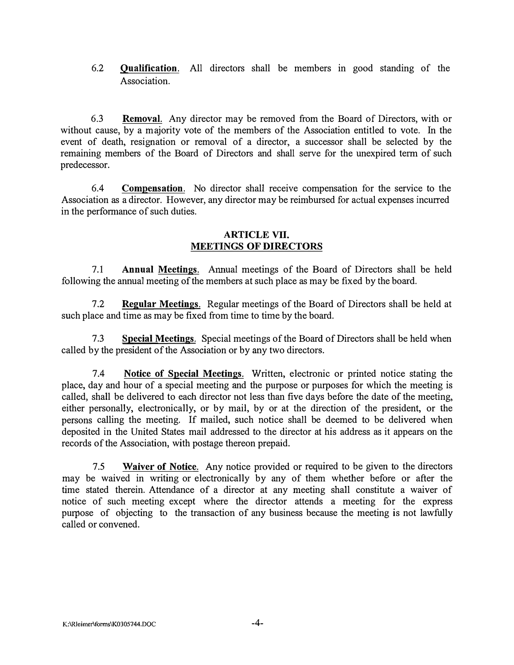6.2 **Qualification.** All directors shall be members in good standing of the Association.

6.3 **Removal.** Any director may be removed from the Board of Directors, with or without cause, by a majority vote of the members of the Association entitled to vote. In the event of death, resignation or removal of a director, a successor shall be selected by the remaining members of the Board of Directors and shall serve for the unexpired term of such predecessor.

6.4 **Compensation.** No director shall receive compensation for the service to the Association as a director. However, any director may be reimbursed for actual expenses incurred in the performance of such duties.

#### **ARTICLE VII. MEETINGS OF DIRECTORS**

7.1 **Annual Meetings.** Annual meetings of the Board of Directors shall be held following the annual meeting of the members at such place as may be fixed by the board.

7.2 **Regular Meetings.** Regular meetings of the Board of Directors shall be held at such place and time as may be fixed from time to time by the board.

7.3 **Special Meetings.** Special meetings of the Board of Directors shall be held when called by the president of the Association or by any two directors.

7.4 **Notice of Special Meetings.** Written, electronic or printed notice stating the place, day and hour of a special meeting and the purpose or purposes for which the meeting is called, shall be delivered to each director not less than five days before the date of the meeting, either personally, electronically, or by mail, by or at the direction of the president, or the persons calling the meeting. If mailed, such notice shall be deemed to be delivered when deposited in the United States mail addressed to the director at his address as it appears on the records of the Association, with postage thereon prepaid.

7.5 **Waiver of Notice.** Any notice provided or required to be given to the directors may be waived in writing or electronically by any of them whether before or after the time stated therein. Attendance of a director at any meeting shall constitute a waiver of notice of such meeting except where the director attends a meeting for the express purpose of objecting to the transaction of any business because the meeting is not lawfully called or convened.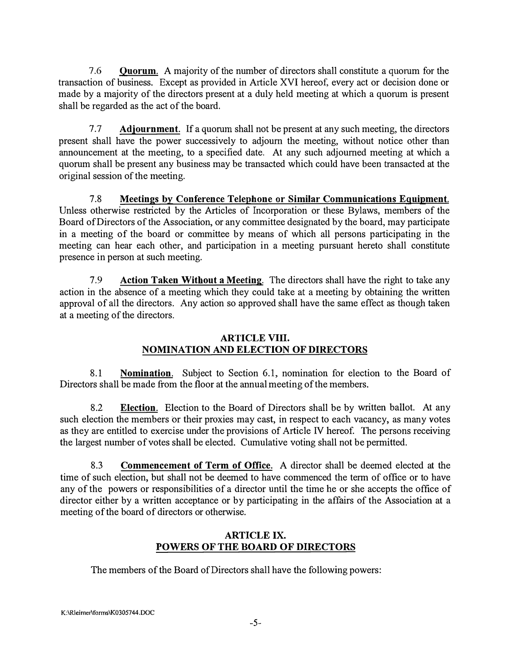7 .6 **Quorum.** A majority of the number of directors shall constitute a quorum for the transaction of business. Except as provided in Article XVI hereof, every act or decision done or made by a majority of the directors present at a duly held meeting at which a quorum is present shall be regarded as the act of the board.

7 .7 **Adjournment.** If a quorum shall not be present at any such meeting, the directors present shall have the power successively to adjourn the meeting, without notice other than announcement at the meeting, to a specified date. At any such adjourned meeting at which a quorum shall be present any business may be transacted which could have been transacted at the original session of the meeting.

7.8 **Meetings** by **Conference Telephone or Similar Communications Equipment.**  Unless otherwise restricted by the Articles of Incorporation or these Bylaws, members of the Board of Directors of the Association, or any committee designated by the board, may participate in a meeting of the board or committee by means of which all persons participating in the meeting can hear each other, and participation in a meeting pursuant hereto shall constitute presence in person at such meeting.

7.9 **Action Taken Without a Meeting.** The directors shall have the right to take any action in the absence of a meeting which they could take at a meeting by obtaining the written approval of all the directors. Any action so approved shall have the same effect as though taken at a meeting of the directors.

#### **ARTICLE VIII. NOMINATION AND ELECTION OF DIRECTORS**

8.1 **Nomination.** Subject to Section 6.1, nomination for election to the Board of Directors shall be made from the floor at the annual meeting of the members.

8.2 **Election.** Election to the Board of Directors shall be by written ballot. At any such election the members or their proxies may cast, in respect to each vacancy, as many votes as they are entitled to exercise under the provisions of Article IV hereof. The persons receiving the largest number of votes shall be elected. Cumulative voting shall not be permitted.

8.3 **Commencement of Term of Office.** A director shall be deemed elected at the time of such election, but shall not be deemed to have commenced the term of office or to have any of the powers or responsibilities of a director until the time he or she accepts the office of director either by a written acceptance or by participating in the affairs of the Association at a meeting of the board of directors or otherwise.

# **ARTICLE IX. POWERS OF THE BOARD OF DIRECTORS**

The members of the Board of Directors shall have the following powers: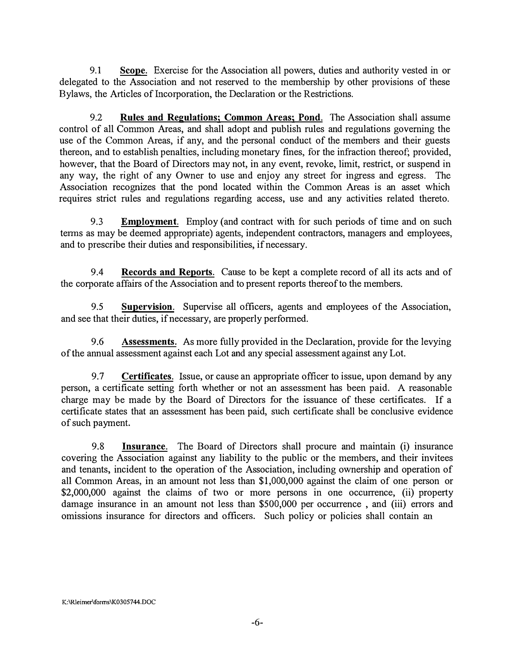9.1 **Scope.** Exercise for the Association all powers, duties and authority vested in or delegated to the Association and not reserved to the membership by other provisions of these Bylaws, the Articles of Incorporation, the Declaration or the Restrictions.

9.2 **Rules aud Regulatious; Common Areas; Pond.** The Association shall assume control of all Common Areas, and shall adopt and publish rules and regulations governing the use of the Common Areas, if any, and the personal conduct of the members and their guests thereon, and to establish penalties, including monetary fines, for the infraction thereof; provided, however, that the Board of Directors may not, in any event, revoke, limit, restrict, or suspend in any way, the right of any Owner to use and enjoy any street for ingress and egress. The Association recognizes that the pond located within the Common Areas is an asset which requires strict rules and regulations regarding access, use and any activities related thereto.

9.3 **Employment.** Employ (and contract with for such periods of time and on such terms as may be deemed appropriate) agents, independent contractors, managers and employees, and to prescribe their duties and responsibilities, if necessary.

9 .4 **Records and Reports.** Cause to be kept a complete record of all its acts and of the corporate affairs of the Association and to present reports thereof to the members.

9.5 **Supervision.** Supervise all officers, agents and employees of the Association, and see that their duties, if necessary, are properly performed.

9.6 **Assessments.** As more fully provided in the Declaration, provide for the levying ofthe annual assessment against each Lot and any special assessment against any Lot.

9.7 **Certificates.** Issue, or cause an appropriate officer to issue, upon demand by any person, a certificate setting forth whether or not an assessment has been paid. A reasonable charge may be made by the Board of Directors for the issuance of these certificates. If a certificate states that an assessment has been paid, such certificate shall be conclusive evidence of such payment.

9.8 **Insurance.** The Board of Directors shall procure and maintain (i) insurance covering the Association against any liability to the public or the members, and their invitees and tenants, incident to the operation of the Association, including ownership and operation of all Common Areas, in an amount not less than \$1,000,000 against the claim of one person or \$2,000,000 against the claims of two or more persons in one occurrence, (ii) property damage insurance in an amount not less than \$500,000 per occurrence , and (iii) errors and omissions insurance for directors and officers. Such policy or policies shall contain an

**K:\Rleimer\forms\K0305744.DOC**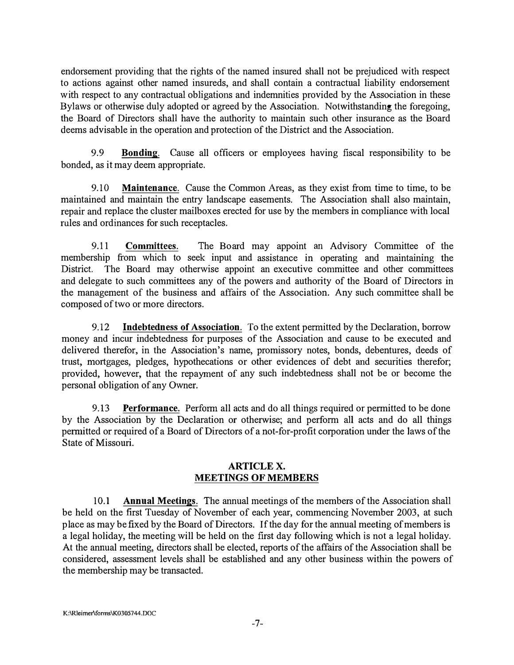endorsement providing that the rights of the named insured shall not be prejudiced with respect to actions against other named insureds, and shall contain a contractual liability endorsement with respect to any contractual obligations and indemnities provided by the Association in these Bylaws or otherwise duly adopted or agreed by the Association. Notwithstanding the foregoing, the Board of Directors shall have the authority to maintain such other insurance as the Board deems advisable in the operation and protection of the District and the Association.

9.9 **Bonding.** Cause all officers or employees having fiscal responsibility to be bonded, as it may deem appropriate.

9.10 **Maintenance.** Cause the Common Areas, as they exist from time to time, to be maintained and maintain the entry landscape easements. The Association shall also maintain, repair and replace the cluster mailboxes erected for use by the members in compliance with local rules and ordinances for such receptacles.

9.11 **Committees.** The Board may appoint an Advisory Committee of the membership from which to seek input and assistance in operating and maintaining the District. The Board may otherwise appoint an executive committee and other committees and delegate to such committees any of the powers and authority of the Board of Directors in the management of the business and affairs of the Association. Any such committee shall be composed of two or more directors.

9.12 **Indebtedness of Association.** To the extent permitted by the Declaration, borrow money and incur indebtedness for purposes of the Association and cause to be executed and delivered therefor, in the Association's name, promissory notes, bonds, debentures, deeds of trust, mortgages, pledges, hypothecations or other evidences of debt and securities therefor; provided, however, that the repaymen<sup>t</sup> of any such indebtedness shall not be or become the personal obligation of any Owner.

9.13 **Performance.** Perform all acts and do all things required or permitted to be done by the Association by the Declaration or otherwise; and perform all acts and do all things permitted or required of a Board of Directors of a not-for-profit corporation under the laws of the State of Missouri.

#### **ARTICLEX. MEETINGS OF MEMBERS**

10.1 **Annual Meetings.** The annual meetings of the members of the Association shall be held on the first Tuesday of November of each year, commencing November 2003, at such place as may be fixed by the Board of Directors. If the day for the annual meeting of members is a legal holiday, the meeting will be held on the first day following which is not a legal holiday. At the annual meeting, directors shall be elected, reports of the affairs of the Association shall be considered, assessment levels shall be established and any other business within the powers of the membership may be transacted.

**K:\Rleimer\fonns\K.0305744.DOC**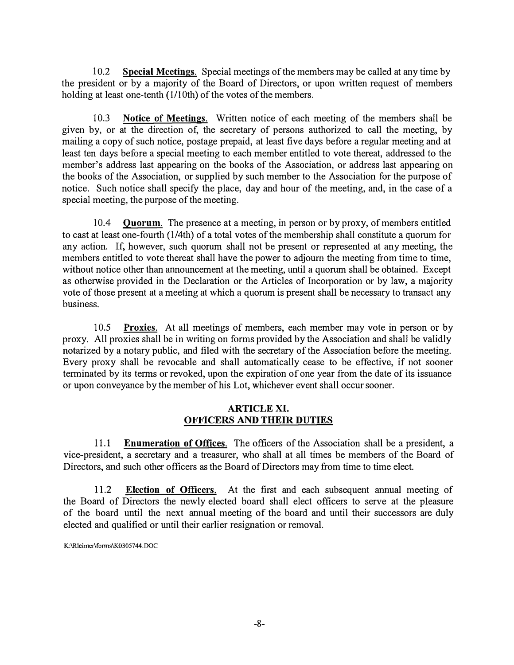I 0.2 **Special Meetings.** Special meetings of the members may be called at any time by the president or by a majority of the Board of Directors, or upon written request of members holding at least one-tenth (I/10th) of the votes of the members.

10.3 **Notice of Meetings.** Written notice of each meeting of the members shall be given by, or at the direction of, the secretary of persons authorized to call the meeting, by mailing a copy of such notice, postage prepaid, at least five days before a regular meeting and at least ten days before a special meeting to each member entitled to vote thereat, addressed to the member's address last appearing on the books of the Association, or address last appearing on the books of the Association, or supplied by such member to the Association for the purpose of notice. Such notice shall specify the place, day and hour of the meeting, and, in the case of a special meeting, the purpose of the meeting.

I 0.4 **Quorum.** The presence at a meeting, in person or by proxy, of members entitled to cast at least one-fourth (I/4th) of a total votes of the membership shall constitute a quorum for any action. If, however, such quorum shall not be present or represented at any meeting, the members entitled to vote thereat shall have the power to adjourn the meeting from time to time, without notice other than announcement at the meeting, until a quorum shall be obtained. Except as otherwise provided in the Declaration or the Articles of Incorporation or by law, a majority vote of those present at a meeting at which a quorum is present shall be necessary to transact any business.

10.5 **Proxies.** At all meetings of members, each member may vote in person or by proxy. All proxies shall be in writing on forms provided by the Association and shall be validly notarized by a notary public, and filed with the secretary of the Association before the meeting. Every proxy shall be revocable and shall automatically cease to be effective, if not sooner terminated by its terms or revoked, upon the expiration of one year from the date of its issuance or upon conveyance by the member of his Lot, whichever event shall occursooner.

## **ARTICLE XI. OFFICERS AND THEIR DUTIES**

11.1 **Enumeration of Offices.** The officers of the Association shall be a president, a vice-president, a secretary and a treasurer, who shall at all times be members of the Board of Directors, and such other officers as the Board of Directors may from time to time elect.

11.2 **Election of Officers.** At the first and each subsequent annual meeting of the Board of Directors the newly elected board shall elect officers to serve at the pleasure of the board until the next annual meeting of the board and until their successors are duly elected and qualified or until their earlier resignation or removal.

**K:\Rleimer\fonns\K.0305744.DOC**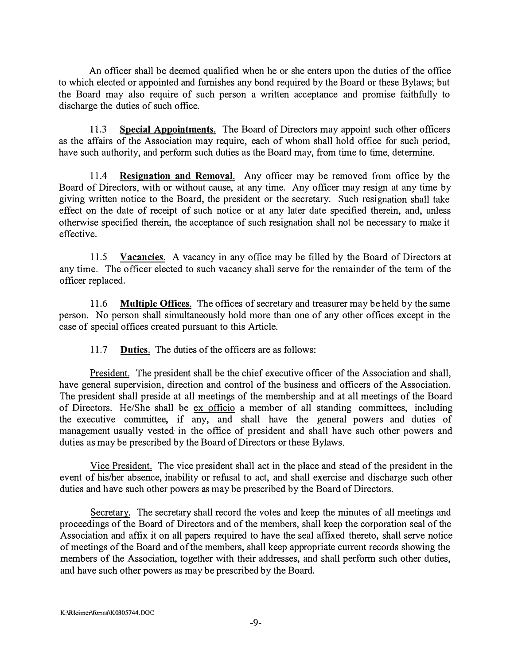An officer shall be deemed qualified when he or she enters upon the duties of the office to which elected or appointed and furnishes any bond required by the Board or these Bylaws; but the Board may also require of such person a written acceptance and promise faithfully to discharge the duties of such office.

11.3 **Special Appointments.** The Board of Directors may appoint such other officers as the affairs of the Association may require, each of whom shall hold office for such period, have such authority, and perform such duties as the Board may, from time to time, determine.

11.4 **Resignation and Removal.** Any officer may be removed from office by the Board of Directors, with or without cause, at any time. Any officer may resign at any time by giving written notice to the Board, the president or the secretary. Such resignation shall take effect on the date of receipt of such notice or at any later date specified therein, and, unless otherwise specified therein, the acceptance of such resignation shall not be necessary to make it effective.

11.5 **Vacancies.** A vacancy in any office may be filled by the Board of Directors at any time. The officer elected to such vacancy shall serve for the remainder of the term of the officer replaced.

11.6 **Multiple Offices.** The offices of secretary and treasurer may be held by the same person. No person shall simultaneously hold more than one of any other offices except in the case of special offices created pursuant to this Article.

11.7 **Duties.** The duties of the officers are as follows:

President. The president shall be the chief executive officer of the Association and shall, have general supervision, direction and control of the business and officers of the Association. The president shall preside at all meetings of the membership and at all meetings of the Board of Directors. He/She shall be ex officio a member of all standing committees, including the executive committee, if any, and shall have the general powers and duties of management usually vested in the office of president and shall have such other powers and duties as may be prescribed by the Board of Directors or these Bylaws.

Vice President. The vice president shall act in the place and stead of the president in the event of his/her absence, inability or refusal to act, and shall exercise and discharge such other duties and have such other powers as may be prescribed by the Board of Directors.

Secretary. The secretary shall record the votes and keep the minutes of all meetings and proceedings of the Board of Directors and of the members, shall keep the corporation seal of the Association and affix it on all papers required to have the seal affixed thereto, shall serve notice ofmeetings of the Board and ofthe members, shall keep appropriate current records showing the members of the Association, together with their addresses, and shall perform such other duties, and have such other powers as may be prescribed by the Board.

**K:\Rleimer\forrns\K.0305744.DOC**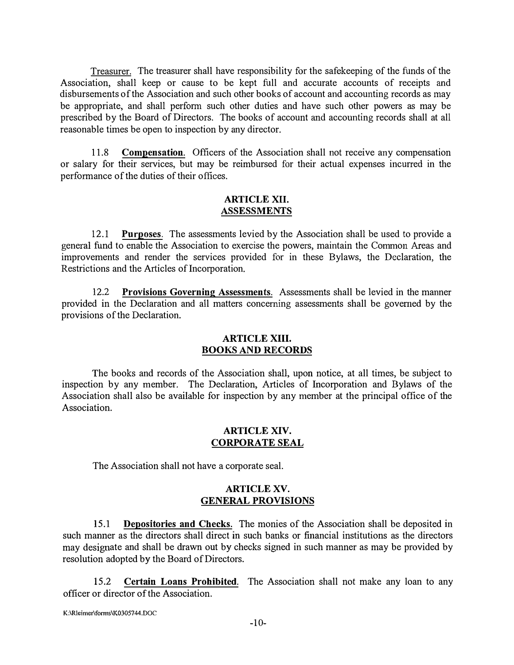Treasurer. The treasurer shall have responsibility for the safekeeping of the funds of the Association, shall keep or cause to be kept full and accurate accounts of receipts and disbursements of the Association and such other books of account and accounting records as may be appropriate, and shall perform such other duties and have such other powers as may be prescribed by the Board of Directors. The books of account and accounting records shall at all reasonable times be open to inspection by any director.

11.8 **Compensation.** Officers of the Association shall not receive any compensation or salary for their services, but may be reimbursed for their actual expenses incurred in the performance of the duties of their offices.

## **ARTICLE XII. ASSESSMENTS**

12.1 **Purposes.** The assessments levied by the Association shall be used to provide a general fund to enable the Association to exercise the powers, maintain the Common Areas and improvements and render the services provided for in these Bylaws, the Declaration, the Restrictions and the Articles of Incorporation.

12.2 **Provisions Governing Assessments.** Assessments shall be levied in the manner provided in the Declaration and all matters concerning assessments shall be governed by the provisions of the Declaration.

#### **ARTICLE XIII. BOOKS AND RECORDS**

The books and records of the Association shall, upon notice, at all times, be subject to inspection by any member. The Declaration, Articles of Incorporation and Bylaws of the Association shall also be available for inspection by any member at the principal office of the Association.

#### **ARTICLE XIV. CORPORATE SEAL**

The Association shall not have a corporate seal.

#### **ARTICLE XV. GENERAL PROVISIONS**

15.1 **Depositories and Checks.** The monies of the Association shall be deposited in such manner as the directors shall direct in such banks or financial institutions as the directors may designate and shall be drawn out by checks signed in such manner as may be provided by resolution adopted by the Board of Directors.

15 .2 **Certain Loans Prohibited.** The Association shall not make any loan to any officer or director of the Association.

**K:\Rleimer\fonns\K0305744.DOC**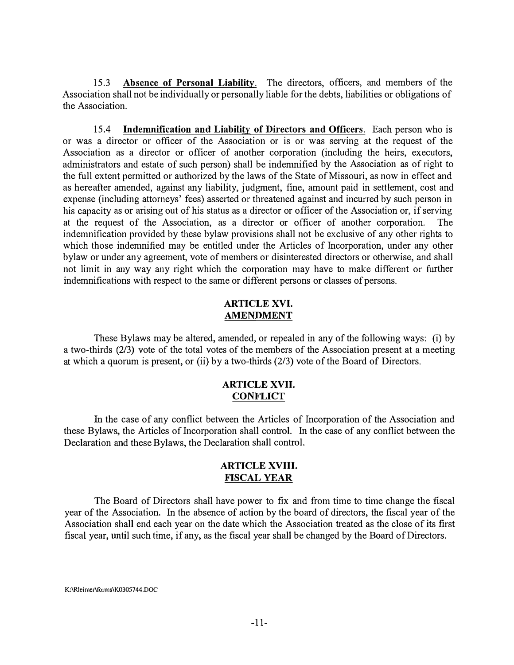15.3 **Absence of Personal Liability.** The directors, officers, and members of the Association shall not be individually or personally liable for the debts, liabilities or obligations of the Association.

15.4 **Indemnification and Liability of Directors and Officers.** Each person who is or was a director or officer of the Association or is or was serving at the request of the Association as a director or officer of another corporation (including the heirs, executors, administrators and estate of such person) shall be indemnified by the Association as of right to the full extent permitted or authorized by the laws of the State of Missouri, as now in effect and as hereafter amended, against any liability, judgment, fine, amount paid in settlement, cost and expense (including attorneys' fees) asserted or threatened against and incurred by such person in his capacity as or arising out of his status as a director or officer of the Association or, if serving at the request of the Association, as a director or officer of another corporation. The indemnification provided by these bylaw provisions shall not be exclusive of any other rights to which those indemnified may be entitled under the Articles of Incorporation, under any other bylaw or under any agreement, vote of members or disinterested directors or otherwise, and shall not limit in any way any right which the corporation may have to make different or further indemnifications with respect to the same or different persons or classes of persons.

#### **ARTICLE XVI. AMENDMENT**

These Bylaws may be altered, amended, or repealed in any of the following ways: (i) by a two-thirds (2/3) vote of the total votes of the members of the Association present at a meeting at which a quorum is present, or (ii) by a two-thirds (2/3) vote of the Board of Directors.

#### **ARTICLE XVII. CONFLICT**

In the case of any conflict between the Articles of Incorporation of the Association and these Bylaws, the Articles of Incorporation shall control. In the case of any conflict between the Declaration and these Bylaws, the Declaration shall control.

## **ARTICLE XVIII. FISCAL YEAR**

The Board of Directors shall have power to fix and from time to time change the fiscal year of the Association. In the absence of action by the board of directors, the fiscal year of the Association shall end each year on the date which the Association treated as the close of its first fiscal year, until such time, if any, as the fiscal year shall be changed by the Board of Directors.

**K:\Rleimer\forms\K0305744.DOC**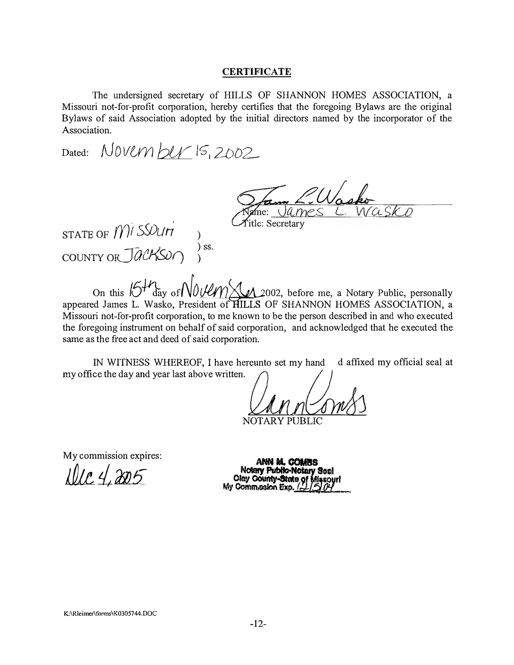#### **CERTIFICATE**

The undersigned secretary of HILLS OF SHANNON HOMES ASSOCIATION, a Missouri not-for-profit corporation, hereby certifies that the foregoing Bylaws are the original Bylaws of said Association adopted by the initial directors named by the incorporator of the Association.

Dated: */V0VUY) bu,* IS", *2DO2-*

 $n$ e:  $U$ a. $m$ e S **Title: Secretary** 

STATE OF *mi sSDun* COUNTY *orCfOCXSur)*  ) ) ss. )

On this  $64\pi$  *day of*  $\sqrt{0.04}$   $\sqrt{0.2002}$ , before me, a Notary Public, personally appeared James L. Wasko, President of HILLS OF SHANNON HOMES ASSOCIATION, a Missouri not-for-profit corporation, to me known to be the person described in and who executed the foregoing instrument on behalf of said corporation, and acknowledged that he executed the same as the free act and deed of said corporation.

IN WITNESS WHEREOF, I have hereunto set my hand d affixed my official seal at my office the day and year last above written.

NOTARY PUBLIC

My commission expires:

*l Oi.L i 'J'JJ!i*

ANN M. CIMINS **Notary Public-Notary Seal Oley County-State o** My Commission Exp.

**K:\Rleimer\fonns\K0305744.DOC**